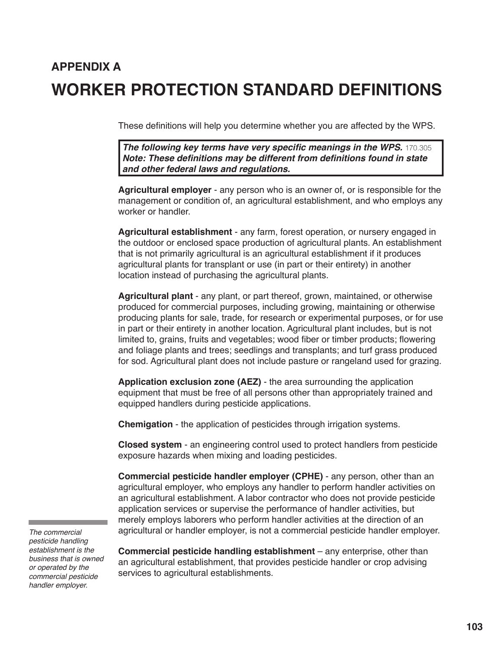## **APPENDIX A WORKER PROTECTION STANDARD DEFINITIONS**

These definitions will help you determine whether you are affected by the WPS.

**The following key terms have very specific meanings in the WPS.** 170.305 **Note: These definitions may be different from definitions found in state and other federal laws and regulations.**

**Agricultural employer** - any person who is an owner of, or is responsible for the management or condition of, an agricultural establishment, and who employs any worker or handler.

**Agricultural establishment** - any farm, forest operation, or nursery engaged in the outdoor or enclosed space production of agricultural plants. An establishment that is not primarily agricultural is an agricultural establishment if it produces agricultural plants for transplant or use (in part or their entirety) in another location instead of purchasing the agricultural plants.

**Agricultural plant** - any plant, or part thereof, grown, maintained, or otherwise produced for commercial purposes, including growing, maintaining or otherwise producing plants for sale, trade, for research or experimental purposes, or for use in part or their entirety in another location. Agricultural plant includes, but is not limited to, grains, fruits and vegetables; wood fiber or timber products; flowering and foliage plants and trees; seedlings and transplants; and turf grass produced for sod. Agricultural plant does not include pasture or rangeland used for grazing.

**Application exclusion zone (AEZ)** - the area surrounding the application equipment that must be free of all persons other than appropriately trained and equipped handlers during pesticide applications.

**Chemigation** - the application of pesticides through irrigation systems.

**Closed system** - an engineering control used to protect handlers from pesticide exposure hazards when mixing and loading pesticides.

**Commercial pesticide handler employer (CPHE)** - any person, other than an agricultural employer, who employs any handler to perform handler activities on an agricultural establishment. A labor contractor who does not provide pesticide application services or supervise the performance of handler activities, but merely employs laborers who perform handler activities at the direction of an agricultural or handler employer, is not a commercial pesticide handler employer.

*The commercial pesticide handling establishment is the business that is owned or operated by the commercial pesticide handler employer.*

**Commercial pesticide handling establishment** – any enterprise, other than an agricultural establishment, that provides pesticide handler or crop advising services to agricultural establishments.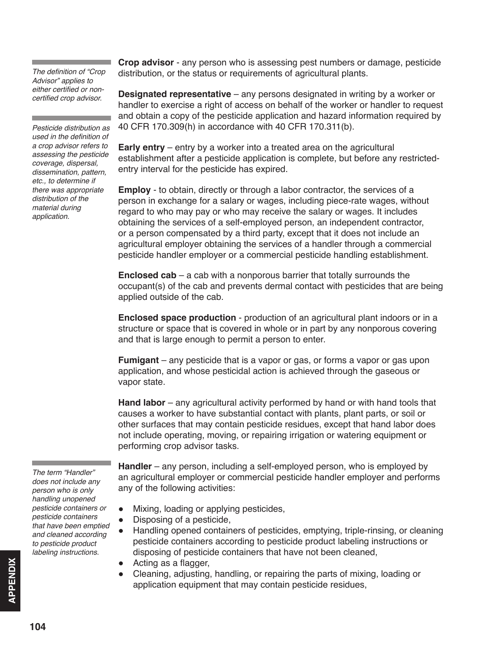The definition of "Crop *Advisor" applies to*  either certified or noncertified crop advisor.

*Pesticide distribution as*  used in the definition of a crop advisor refers to *assessing the pesticide coverage, dispersal, dissemination, pattern,*  etc., to determine if *there was appropriate*  distribution of the *material during application.*

**Crop advisor** - any person who is assessing pest numbers or damage, pesticide distribution, or the status or requirements of agricultural plants.

**Designated representative** – any persons designated in writing by a worker or handler to exercise a right of access on behalf of the worker or handler to request and obtain a copy of the pesticide application and hazard information required by 40 CFR 170.309(h) in accordance with 40 CFR 170.311(b).

**Early entry** – entry by a worker into a treated area on the agricultural establishment after a pesticide application is complete, but before any restrictedentry interval for the pesticide has expired.

**Employ** - to obtain, directly or through a labor contractor, the services of a person in exchange for a salary or wages, including piece-rate wages, without regard to who may pay or who may receive the salary or wages. It includes obtaining the services of a self-employed person, an independent contractor, or a person compensated by a third party, except that it does not include an agricultural employer obtaining the services of a handler through a commercial pesticide handler employer or a commercial pesticide handling establishment.

**Enclosed cab** – a cab with a nonporous barrier that totally surrounds the occupant(s) of the cab and prevents dermal contact with pesticides that are being applied outside of the cab.

**Enclosed space production** - production of an agricultural plant indoors or in a structure or space that is covered in whole or in part by any nonporous covering and that is large enough to permit a person to enter.

**Fumigant** – any pesticide that is a vapor or gas, or forms a vapor or gas upon application, and whose pesticidal action is achieved through the gaseous or vapor state.

**Hand labor** – any agricultural activity performed by hand or with hand tools that causes a worker to have substantial contact with plants, plant parts, or soil or other surfaces that may contain pesticide residues, except that hand labor does not include operating, moving, or repairing irrigation or watering equipment or performing crop advisor tasks.

The term "Handler" *does not include any person who is only handling unopened pesticide containers or pesticide containers that have been emptied and cleaned according to pesticide product labeling instructions.*

**Handler** – any person, including a self-employed person, who is employed by an agricultural employer or commercial pesticide handler employer and performs any of the following activities:

- Mixing, loading or applying pesticides,
- Disposing of a pesticide,
- Handling opened containers of pesticides, emptying, triple-rinsing, or cleaning pesticide containers according to pesticide product labeling instructions or disposing of pesticide containers that have not been cleaned,
- Acting as a flagger,
- Cleaning, adjusting, handling, or repairing the parts of mixing, loading or application equipment that may contain pesticide residues,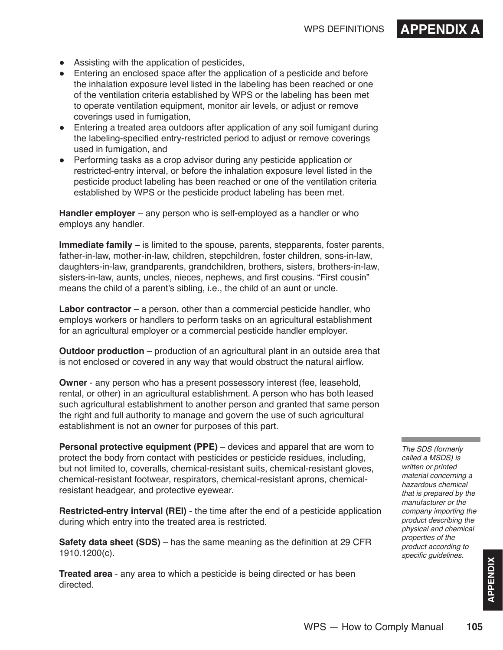- Assisting with the application of pesticides,
- Entering an enclosed space after the application of a pesticide and before the inhalation exposure level listed in the labeling has been reached or one of the ventilation criteria established by WPS or the labeling has been met to operate ventilation equipment, monitor air levels, or adjust or remove coverings used in fumigation,
- Entering a treated area outdoors after application of any soil fumigant during the labeling-specified entry-restricted period to adjust or remove coverings used in fumigation, and
- Performing tasks as a crop advisor during any pesticide application or restricted-entry interval, or before the inhalation exposure level listed in the pesticide product labeling has been reached or one of the ventilation criteria established by WPS or the pesticide product labeling has been met.

**Handler employer** – any person who is self-employed as a handler or who employs any handler.

**Immediate family** – is limited to the spouse, parents, stepparents, foster parents, father-in-law, mother-in-law, children, stepchildren, foster children, sons-in-law, daughters-in-law, grandparents, grandchildren, brothers, sisters, brothers-in-law, sisters-in-law, aunts, uncles, nieces, nephews, and first cousins. "First cousin" means the child of a parent's sibling, i.e., the child of an aunt or uncle.

**Labor contractor** – a person, other than a commercial pesticide handler, who employs workers or handlers to perform tasks on an agricultural establishment for an agricultural employer or a commercial pesticide handler employer.

**Outdoor production** – production of an agricultural plant in an outside area that is not enclosed or covered in any way that would obstruct the natural airflow.

**Owner** - any person who has a present possessory interest (fee, leasehold, rental, or other) in an agricultural establishment. A person who has both leased such agricultural establishment to another person and granted that same person the right and full authority to manage and govern the use of such agricultural establishment is not an owner for purposes of this part.

**Personal protective equipment (PPE)** – devices and apparel that are worn to protect the body from contact with pesticides or pesticide residues, including, but not limited to, coveralls, chemical-resistant suits, chemical-resistant gloves, chemical-resistant footwear, respirators, chemical-resistant aprons, chemicalresistant headgear, and protective eyewear.

**Restricted-entry interval (REI)** - the time after the end of a pesticide application during which entry into the treated area is restricted.

**Safety data sheet (SDS)** – has the same meaning as the definition at 29 CFR 1910.1200(c).

**Treated area** - any area to which a pesticide is being directed or has been directed.

The SDS (formerly *called a MSDS) is written or printed material concerning a hazardous chemical that is prepared by the*  manufacturer or the *company importing the product describing the physical and chemical*  properties of the *product according to*  specific guidelines.